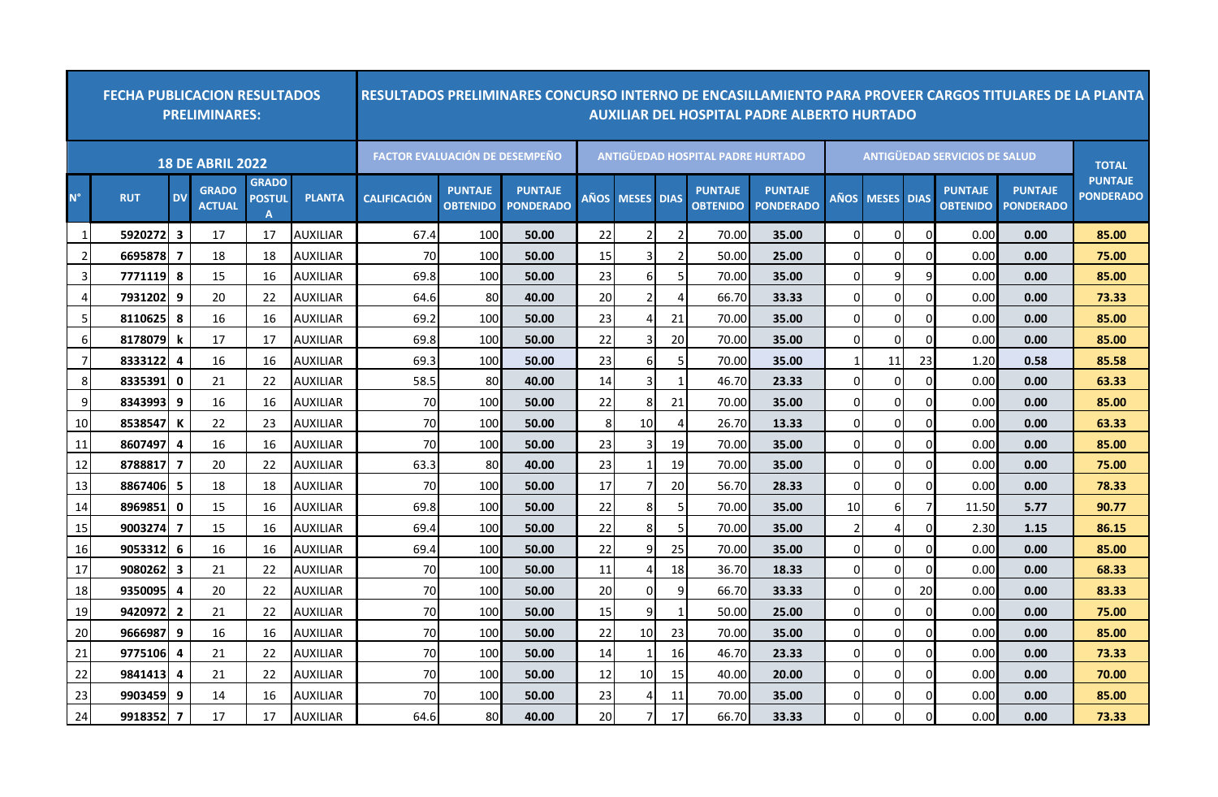| <b>FECHA PUBLICACION RESULTADOS</b><br><b>PRELIMINARES:</b> |            |                         |                               |                                    |                 | RESULTADOS PRELIMINARES CONCURSO INTERNO DE ENCASILLAMIENTO PARA PROVEER CARGOS TITULARES DE LA PLANTA<br><b>AUXILIAR DEL HOSPITAL PADRE ALBERTO HURTADO</b> |                                   |                                    |             |                |                |                                          |                                    |                                      |                   |          |                                   |                                    |                                    |
|-------------------------------------------------------------|------------|-------------------------|-------------------------------|------------------------------------|-----------------|--------------------------------------------------------------------------------------------------------------------------------------------------------------|-----------------------------------|------------------------------------|-------------|----------------|----------------|------------------------------------------|------------------------------------|--------------------------------------|-------------------|----------|-----------------------------------|------------------------------------|------------------------------------|
| <b>18 DE ABRIL 2022</b>                                     |            |                         |                               |                                    |                 | <b>FACTOR EVALUACIÓN DE DESEMPEÑO</b>                                                                                                                        |                                   |                                    |             |                |                | <b>ANTIGUEDAD HOSPITAL PADRE HURTADO</b> |                                    | <b>ANTIGUEDAD SERVICIOS DE SALUD</b> | <b>TOTAL</b>      |          |                                   |                                    |                                    |
| N°                                                          | <b>RUT</b> | <b>DV</b>               | <b>GRADO</b><br><b>ACTUAL</b> | <b>GRADO</b><br><b>POSTUL</b><br>A | <b>PLANTA</b>   | <b>CALIFICACIÓN</b>                                                                                                                                          | <b>PUNTAJE</b><br><b>OBTENIDO</b> | <b>PUNTAJE</b><br><b>PONDERADO</b> | <b>AÑOS</b> | <b>MESES</b>   | <b>DIAS</b>    | <b>PUNTAJE</b><br><b>OBTENIDO</b>        | <b>PUNTAJE</b><br><b>PONDERADO</b> | <b>AÑOS</b>                          | <b>MESES DIAS</b> |          | <b>PUNTAJE</b><br><b>OBTENIDO</b> | <b>PUNTAJE</b><br><b>PONDERADO</b> | <b>PUNTAJE</b><br><b>PONDERADO</b> |
|                                                             | 5920272    | $\overline{\mathbf{3}}$ | 17                            | 17                                 | <b>AUXILIAR</b> | 67.4                                                                                                                                                         | 100                               | 50.00                              | 22          | 2              |                | 70.00                                    | 35.00                              | $\Omega$                             | O                 | ∩        | 0.00                              | 0.00                               | 85.00                              |
|                                                             | 6695878    | 7                       | 18                            | 18                                 | <b>AUXILIAR</b> | 70                                                                                                                                                           | 100                               | 50.00                              | 15          | 3              |                | 50.00                                    | 25.00                              | $\Omega$                             | 0                 | 0        | 0.00                              | 0.00                               | 75.00                              |
| $\overline{3}$                                              | 7771119    | 8                       | 15                            | 16                                 | <b>AUXILIAR</b> | 69.8                                                                                                                                                         | 100                               | 50.00                              | 23          | 6              |                | 70.00                                    | 35.00                              | 0                                    | 9                 | 9        | 0.00                              | 0.00                               | 85.00                              |
| 41                                                          | 7931202    | 9                       | 20                            | 22                                 | <b>AUXILIAR</b> | 64.6                                                                                                                                                         | 80                                | 40.00                              | 20          | $\overline{2}$ |                | 66.70                                    | 33.33                              | $\Omega$                             | $\Omega$          | 0        | 0.00                              | 0.00                               | 73.33                              |
| 5 <sub>l</sub>                                              | 8110625    | 8                       | 16                            | 16                                 | <b>AUXILIAR</b> | 69.2                                                                                                                                                         | 100                               | 50.00                              | 23          | 4              | 21             | 70.00                                    | 35.00                              | $\mathbf 0$                          | 0                 | $\Omega$ | 0.00                              | 0.00                               | 85.00                              |
| 61                                                          | 8178079    | k                       | 17                            | 17                                 | <b>AUXILIAR</b> | 69.8                                                                                                                                                         | 100                               | 50.00                              | 22          | 3              | <b>20</b>      | 70.00                                    | 35.00                              | $\Omega$                             | $\Omega$          | 0        | 0.00                              | 0.00                               | 85.00                              |
| 71                                                          | 8333122    | 4                       | 16                            | 16                                 | <b>AUXILIAR</b> | 69.3                                                                                                                                                         | 100                               | 50.00                              | 23          | 6              | 5 <sub>l</sub> | 70.00                                    | 35.00                              | $\mathbf{1}$                         | 11                | 23       | 1.20                              | 0.58                               | 85.58                              |
| 8 <sup>1</sup>                                              | 8335391    | $\mathbf 0$             | 21                            | 22                                 | <b>AUXILIAR</b> | 58.5                                                                                                                                                         | 80                                | 40.00                              | 14          | $\overline{3}$ |                | 46.70                                    | 23.33                              | $\Omega$                             | $\Omega$          | $\Omega$ | 0.00                              | 0.00                               | 63.33                              |
| 9                                                           | 8343993    | 9                       | 16                            | 16                                 | <b>AUXILIAR</b> | 70                                                                                                                                                           | 100                               | 50.00                              | 22          | 8              | 21             | 70.00                                    | 35.00                              | $\mathbf 0$                          | 0                 | $\Omega$ | 0.00                              | 0.00                               | 85.00                              |
| <b>10</b>                                                   | 8538547    | К                       | 22                            | 23                                 | <b>AUXILIAR</b> | 70                                                                                                                                                           | 100                               | 50.00                              | 8           | 10             |                | 26.70                                    | 13.33                              | $\mathbf 0$                          | $\Omega$          | $\Omega$ | 0.00                              | 0.00                               | 63.33                              |
| 11                                                          | 8607497    | 4                       | 16                            | 16                                 | <b>AUXILIAR</b> | 70                                                                                                                                                           | 100                               | 50.00                              | 23          | 3              | 19             | 70.00                                    | 35.00                              | 0                                    | 0                 | 0        | 0.00                              | 0.00                               | 85.00                              |
| 12                                                          | 8788817    | $\overline{7}$          | 20                            | 22                                 | <b>AUXILIAR</b> | 63.3                                                                                                                                                         | 80                                | 40.00                              | 23          |                | 19             | 70.00                                    | 35.00                              | $\mathbf 0$                          | $\Omega$          | 0        | 0.00                              | 0.00                               | 75.00                              |
| 13                                                          | 88674061   | - 5                     | 18                            | 18                                 | <b>AUXILIAR</b> | 70                                                                                                                                                           | 100                               | 50.00                              | 17          |                | 20             | 56.70                                    | 28.33                              | 0                                    | $\overline{0}$    | 0        | 0.00                              | 0.00                               | 78.33                              |
| 14                                                          | 8969851    | $\mathbf 0$             | 15                            | 16                                 | <b>AUXILIAR</b> | 69.8                                                                                                                                                         | 100                               | 50.00                              | 22          | 8              | 5 <sub>l</sub> | 70.00                                    | 35.00                              | 10                                   | 6                 |          | 11.50                             | 5.77                               | 90.77                              |
| 15                                                          | 9003274 7  |                         | 15                            | 16                                 | <b>AUXILIAR</b> | 69.4                                                                                                                                                         | 100                               | 50.00                              | 22          | 8              |                | 70.00                                    | 35.00                              | 2                                    | Δ                 | ∩        | 2.30                              | 1.15                               | 86.15                              |
| <b>16</b>                                                   | 9053312    | 6                       | 16                            | 16                                 | <b>AUXILIAR</b> | 69.4                                                                                                                                                         | 100                               | 50.00                              | 22          | q              | 25             | 70.00                                    | 35.00                              | $\Omega$                             | 0                 | $\Omega$ | 0.00                              | 0.00                               | 85.00                              |
| 17                                                          | 9080262    | 3                       | 21                            | 22                                 | <b>AUXILIAR</b> | 70                                                                                                                                                           | 100                               | 50.00                              | 11          | 4              | 18             | 36.70                                    | 18.33                              | 0                                    | $\Omega$          | $\Omega$ | 0.00                              | 0.00                               | 68.33                              |
| 18                                                          | 9350095    | 4                       | 20                            | 22                                 | <b>AUXILIAR</b> | 70                                                                                                                                                           | 100                               | 50.00                              | 20          | 0              | 9              | 66.70                                    | 33.33                              | $\Omega$                             | $\Omega$          | 20       | 0.00                              | 0.00                               | 83.33                              |
| 19                                                          | 94209721   | $\overline{\mathbf{2}}$ | 21                            | 22                                 | <b>AUXILIAR</b> | 70                                                                                                                                                           | 100                               | 50.00                              | 15          | 9              |                | 50.00                                    | 25.00                              | $\Omega$                             | $\Omega$          | $\Omega$ | 0.00                              | 0.00                               | 75.00                              |
| 20                                                          | 9666987    | 9                       | 16                            | 16                                 | <b>AUXILIAR</b> | 70                                                                                                                                                           | 100                               | 50.00                              | 22          | 10             | 23             | 70.00                                    | 35.00                              | $\Omega$                             | 0                 | 0        | 0.00                              | 0.00                               | 85.00                              |
|                                                             |            |                         |                               |                                    |                 |                                                                                                                                                              |                                   |                                    |             |                |                |                                          |                                    |                                      |                   |          |                                   |                                    |                                    |

 **9775106 4** 21 22 AUXILIAR 70 100 **50.00** 14 1 16 46.70 **23.33** 0 0 0 0.00 **0.00 73.33 9841413 4** 21 22 AUXILIAR 70 100 **50.00** 12 10 15 40.00 **20.00** 0 0 0 0.00 **0.00 70.00 9903459 9** 14 16 AUXILIAR 70 100 **50.00** 23 4 11 70.00 **35.00** 0 0 0 0.00 **0.00 85.00 9918352 7** 17 17 AUXILIAR 64.6 80 **40.00** 20 7 17 66.70 **33.33** 0 0 0 0.00 **0.00 73.33**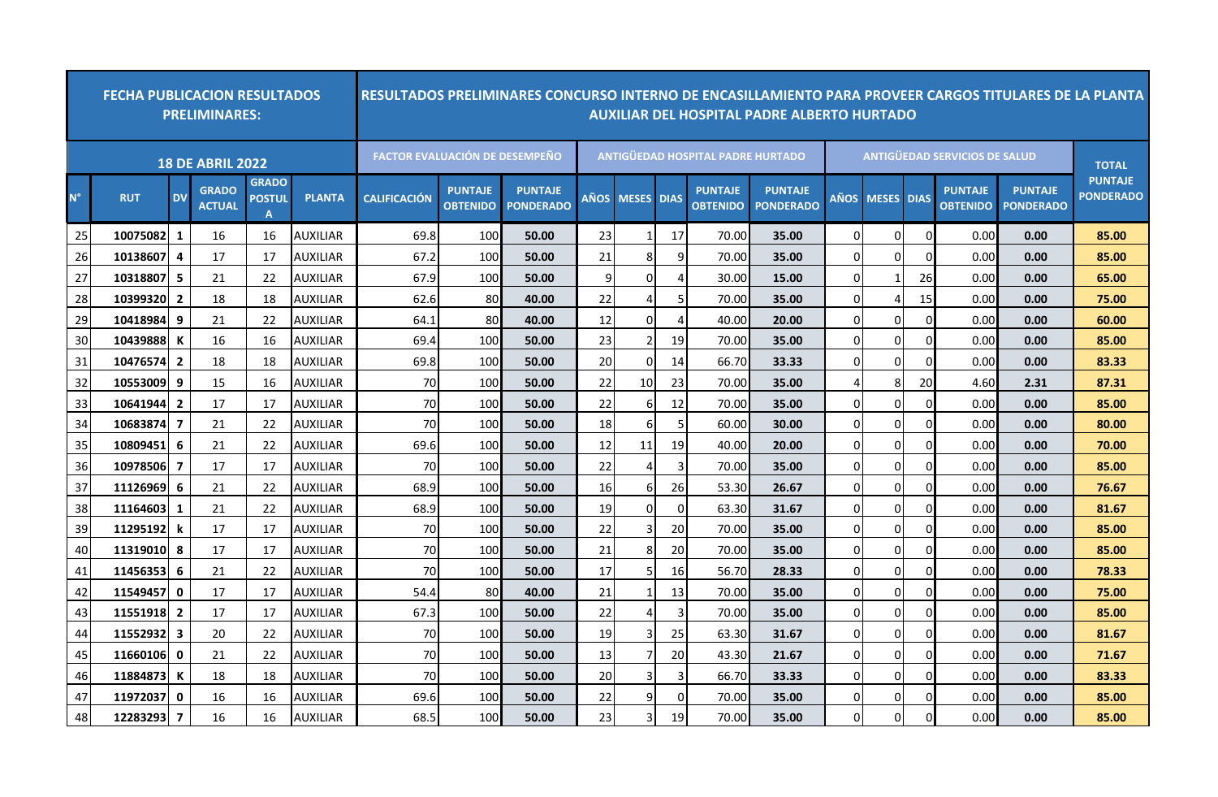| <b>FECHA PUBLICACION RESULTADOS</b><br><b>PRELIMINARES:</b> |            |                |                               |                                               |                 | RESULTADOS PRELIMINARES CONCURSO INTERNO DE ENCASILLAMIENTO PARA PROVEER CARGOS TITULARES DE LA PLANTA<br><b>AUXILIAR DEL HOSPITAL PADRE ALBERTO HURTADO</b> |                                   |                                    |             |                |             |                                          |                                    |                |              |             |                                   |                                    |                                    |
|-------------------------------------------------------------|------------|----------------|-------------------------------|-----------------------------------------------|-----------------|--------------------------------------------------------------------------------------------------------------------------------------------------------------|-----------------------------------|------------------------------------|-------------|----------------|-------------|------------------------------------------|------------------------------------|----------------|--------------|-------------|-----------------------------------|------------------------------------|------------------------------------|
|                                                             |            |                | <b>18 DE ABRIL 2022</b>       |                                               |                 | <b>FACTOR EVALUACIÓN DE DESEMPEÑO</b>                                                                                                                        |                                   |                                    |             |                |             | <b>ANTIGUEDAD HOSPITAL PADRE HURTADO</b> |                                    |                | <b>TOTAL</b> |             |                                   |                                    |                                    |
| $N^{\circ}$                                                 | <b>RUT</b> | <b>DV</b>      | <b>GRADO</b><br><b>ACTUAL</b> | <b>GRADO</b><br><b>POSTUL</b><br>$\mathbf{A}$ | <b>PLANTA</b>   | <b>CALIFICACIÓN</b>                                                                                                                                          | <b>PUNTAJE</b><br><b>OBTENIDO</b> | <b>PUNTAJE</b><br><b>PONDERADO</b> | <b>AÑOS</b> | <b>MESES</b>   | <b>DIAS</b> | <b>PUNTAJE</b><br><b>OBTENIDO</b>        | <b>PUNTAJE</b><br><b>PONDERADO</b> | <b>AÑOS</b>    | <b>MESES</b> | <b>DIAS</b> | <b>PUNTAJE</b><br><b>OBTENIDO</b> | <b>PUNTAJE</b><br><b>PONDERADO</b> | <b>PUNTAJE</b><br><b>PONDERADO</b> |
| 25                                                          | 10075082   | 1              | 16                            | 16                                            | AUXILIAR        | 69.8                                                                                                                                                         | 100                               | 50.00                              | 23          |                | 17          | 70.00                                    | 35.00                              | $\Omega$       | 0            |             | 0.00                              | 0.00                               | 85.00                              |
| 26                                                          | 10138607   | $\overline{a}$ | 17                            | 17                                            | <b>AUXILIAR</b> | 67.2                                                                                                                                                         | 100                               | 50.00                              | 21          | 8              | 9           | 70.00                                    | 35.00                              | $\Omega$       | 0            |             | 0.00                              | 0.00                               | 85.00                              |
| 27                                                          | 10318807 5 |                | 21                            | 22                                            | <b>AUXILIAR</b> | 67.9                                                                                                                                                         | 100                               | 50.00                              | 9           | $\Omega$       |             | 30.00                                    | 15.00                              | $\Omega$       | 1            | 26          | 0.00                              | 0.00                               | 65.00                              |
| 28                                                          | 10399320   | $\overline{2}$ | 18                            | 18                                            | AUXILIAR        | 62.6                                                                                                                                                         | 80                                | 40.00                              | 22          | 4              |             | 70.00                                    | 35.00                              | $\Omega$       | 4            | 15          | 0.00                              | 0.00                               | 75.00                              |
| 29                                                          | 10418984   | -9             | 21                            | 22                                            | AUXILIAR        | 64.1                                                                                                                                                         | 80                                | 40.00                              | 12          | $\Omega$       | 4           | 40.00                                    | 20.00                              | $\Omega$       | $\Omega$     |             | 0.00                              | 0.00                               | 60.00                              |
| 30                                                          | 10439888   | К              | 16                            | 16                                            | <b>AUXILIAR</b> | 69.4                                                                                                                                                         | 100                               | 50.00                              | 23          | $\overline{2}$ | 19          | 70.00                                    | 35.00                              | $\Omega$       | 0            |             | 0.00                              | 0.00                               | 85.00                              |
| 31                                                          | 10476574   | $\overline{2}$ | 18                            | 18                                            | <b>AUXILIAR</b> | 69.8                                                                                                                                                         | 100                               | 50.00                              | 20          | $\mathbf 0$    | 14          | 66.70                                    | 33.33                              | $\Omega$       | 0            |             | 0.00                              | 0.00                               | 83.33                              |
| 32                                                          | 10553009 9 |                | 15                            | 16                                            | <b>AUXILIAR</b> | 70                                                                                                                                                           | 100                               | 50.00                              | 22          | 10             | 23          | 70.00                                    | 35.00                              | 4              | 8            | 20          | 4.60                              | 2.31                               | 87.31                              |
| 33                                                          | 10641944   | $\overline{2}$ | 17                            | 17                                            | <b>AUXILIAR</b> | 70                                                                                                                                                           | 100                               | 50.00                              | 22          | 6              | 12          | 70.00                                    | 35.00                              | $\Omega$       | 0            |             | 0.00                              | 0.00                               | 85.00                              |
| 34                                                          | 10683874   | $\overline{7}$ | 21                            | 22                                            | <b>AUXILIAR</b> | 70                                                                                                                                                           | 100                               | 50.00                              | 18          | 6              | .5          | 60.00                                    | 30.00                              | $\Omega$       | $\Omega$     |             | 0.00                              | 0.00                               | 80.00                              |
| 35                                                          | 10809451   | 6              | 21                            | 22                                            | AUXILIAR        | 69.6                                                                                                                                                         | 100                               | 50.00                              | 12          | 11             | 19          | 40.00                                    | 20.00                              | $\Omega$       | 0            |             | 0.00                              | 0.00                               | 70.00                              |
| 36                                                          | 10978506   | 7              | 17                            | 17                                            | <b>AUXILIAR</b> | 70                                                                                                                                                           | 100                               | 50.00                              | 22          | $\overline{4}$ |             | 70.00                                    | 35.00                              | $\Omega$       | 0            |             | 0.00                              | 0.00                               | 85.00                              |
| 37                                                          | 111269691  | -6             | 21                            | 22                                            | <b>AUXILIAR</b> | 68.9                                                                                                                                                         | 100                               | 50.00                              | 16          | 6              | 26          | 53.30                                    | 26.67                              | $\Omega$       | $\Omega$     |             | 0.00                              | 0.00                               | 76.67                              |
| 38                                                          | 11164603   | -1             | 21                            | 22                                            | AUXILIAR        | 68.9                                                                                                                                                         | 100                               | 50.00                              | 19          | $\overline{0}$ |             | 63.30                                    | 31.67                              | $\Omega$       | 0            |             | 0.00                              | 0.00                               | 81.67                              |
| 39                                                          | 11295192   | k              | 17                            | 17                                            | AUXILIAR        | 70                                                                                                                                                           | 100                               | 50.00                              | 22          | 3              | 20          | 70.00                                    | 35.00                              | $\Omega$       | 0            |             | 0.00                              | 0.00                               | 85.00                              |
| 40                                                          | 11319010   | -8             | 17                            | 17                                            | <b>AUXILIAR</b> | 70                                                                                                                                                           | 100                               | 50.00                              | 21          | 8              | 20          | 70.00                                    | 35.00                              | $\overline{0}$ | 0            |             | 0.00                              | 0.00                               | 85.00                              |
| 41                                                          | 11456353 6 |                | 21                            | 22                                            | <b>AUXILIAR</b> | 70                                                                                                                                                           | 100                               | 50.00                              | 17          | 5              | 16          | 56.70                                    | 28.33                              | $\Omega$       | 0            |             | 0.00                              | 0.00                               | 78.33                              |
| 42                                                          | 11549457   | $\mathbf{0}$   | 17                            | 17                                            | AUXILIAR        | 54.4                                                                                                                                                         | 80                                | 40.00                              | 21          |                | 13          | 70.00                                    | 35.00                              | $\Omega$       | 0            |             | 0.00                              | 0.00                               | 75.00                              |
| 43                                                          | 11551918 2 |                | 17                            | 17                                            | <b>AUXILIAR</b> | 67.3                                                                                                                                                         | 100                               | 50.00                              | 22          | 4              |             | 70.00                                    | 35.00                              | $\Omega$       | $\Omega$     |             | 0.00                              | 0.00                               | 85.00                              |
| 44                                                          | 11552932 3 |                | 20                            | 22                                            | <b>AUXILIAR</b> | 70                                                                                                                                                           | 100                               | 50.00                              | 19          | $\overline{3}$ | 25          | 63.30                                    | 31.67                              | $\Omega$       | $\Omega$     |             | 0.00                              | 0.00                               | 81.67                              |
| 45                                                          | 11660106   | $\mathbf{0}$   | 21                            | 22                                            | <b>AUXILIAR</b> | 70                                                                                                                                                           | 100                               | 50.00                              | 13          | $\overline{7}$ | 20          | 43.30                                    | 21.67                              | $\Omega$       | 0            |             | 0.00                              | 0.00                               | 71.67                              |
| 46                                                          | 11884873   | K              | 18                            | 18                                            | <b>AUXILIAR</b> | 70                                                                                                                                                           | 100                               | 50.00                              | 20          | $\overline{3}$ |             | 66.70                                    | 33.33                              | $\Omega$       | $\Omega$     |             | 0.00                              | 0.00                               | 83.33                              |
| 47                                                          | 11972037   | $\mathbf{0}$   | 16                            | 16                                            | AUXILIAR        | 69.6                                                                                                                                                         | 100                               | 50.00                              | 22          | 9              | $\Omega$    | 70.00                                    | 35.00                              | $\Omega$       | $\Omega$     |             | 0.00                              | 0.00                               | 85.00                              |
| 48                                                          | 12283293   | $\overline{ }$ | 16                            | 16                                            | <b>AUXILIAR</b> | 68.5                                                                                                                                                         | 100                               | 50.00                              | 23          | 3              | 19          | 70.00                                    | 35.00                              | $\Omega$       | $\Omega$     |             | 0.00                              | 0.00                               | 85.00                              |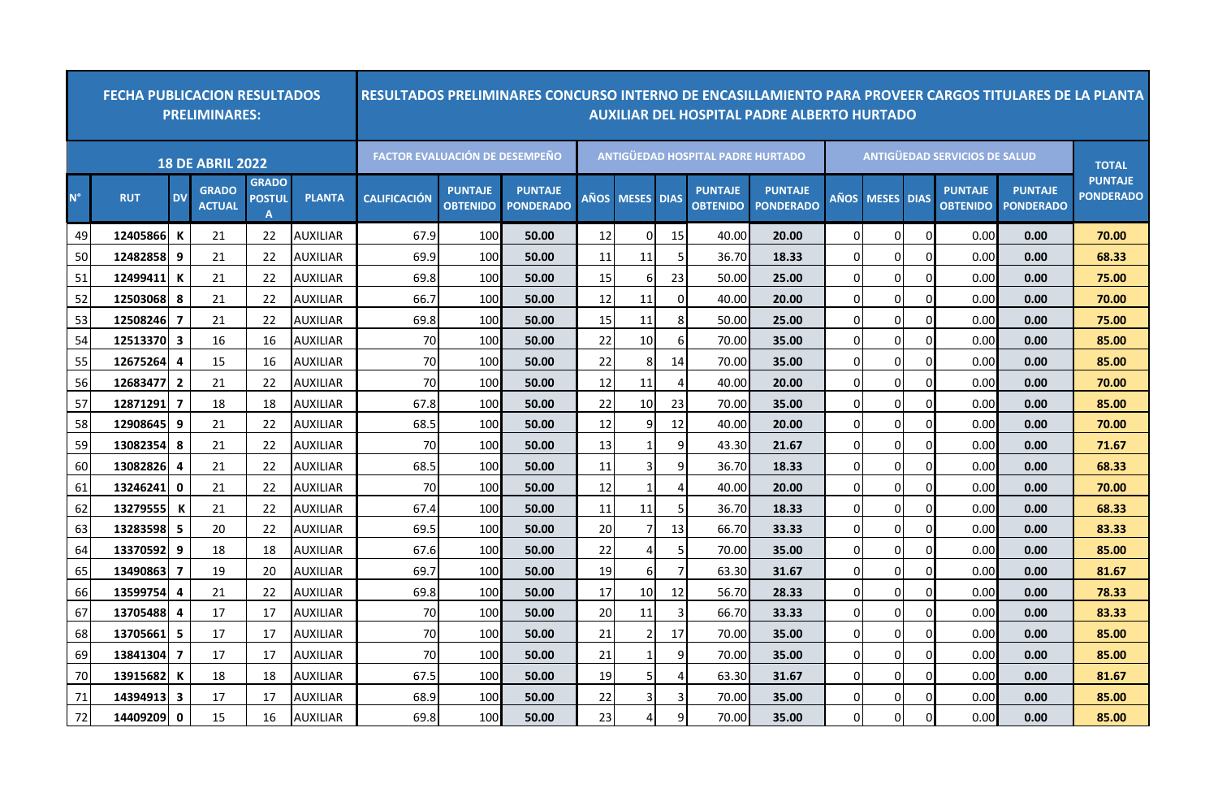|             | <b>FECHA PUBLICACION RESULTADOS</b> |                         | <b>PRELIMINARES:</b>          |                                               |                 | RESULTADOS PRELIMINARES CONCURSO INTERNO DE ENCASILLAMIENTO PARA PROVEER CARGOS TITULARES DE LA PLANTA<br><b>AUXILIAR DEL HOSPITAL PADRE ALBERTO HURTADO</b> |                                   |                                    |      |                 |             |                                          |                                    |                |              |             |                                   |                                    |                                    |  |
|-------------|-------------------------------------|-------------------------|-------------------------------|-----------------------------------------------|-----------------|--------------------------------------------------------------------------------------------------------------------------------------------------------------|-----------------------------------|------------------------------------|------|-----------------|-------------|------------------------------------------|------------------------------------|----------------|--------------|-------------|-----------------------------------|------------------------------------|------------------------------------|--|
|             |                                     |                         | <b>18 DE ABRIL 2022</b>       |                                               |                 | <b>FACTOR EVALUACIÓN DE DESEMPEÑO</b>                                                                                                                        |                                   |                                    |      |                 |             | <b>ANTIGÜEDAD HOSPITAL PADRE HURTADO</b> |                                    |                | <b>TOTAL</b> |             |                                   |                                    |                                    |  |
| $N^{\circ}$ | <b>RUT</b>                          | <b>DV</b>               | <b>GRADO</b><br><b>ACTUAL</b> | <b>GRADO</b><br><b>POSTUL</b><br>$\mathbf{A}$ | <b>PLANTA</b>   | <b>CALIFICACIÓN</b>                                                                                                                                          | <b>PUNTAJE</b><br><b>OBTENIDO</b> | <b>PUNTAJE</b><br><b>PONDERADO</b> | AÑOS | <b>MESES</b>    | <b>DIAS</b> | <b>PUNTAJE</b><br><b>OBTENIDO</b>        | <b>PUNTAJE</b><br><b>PONDERADO</b> | <b>AÑOS</b>    | <b>MESES</b> | <b>DIAS</b> | <b>PUNTAJE</b><br><b>OBTENIDO</b> | <b>PUNTAJE</b><br><b>PONDERADO</b> | <b>PUNTAJE</b><br><b>PONDERADO</b> |  |
| 49          | 12405866                            | К                       | 21                            | 22                                            | <b>AUXILIAR</b> | 67.9                                                                                                                                                         | 100                               | 50.00                              | 12   | $\overline{0}$  | 15          | 40.00                                    | 20.00                              | $\Omega$       | 0            |             | 0.00                              | 0.00                               | 70.00                              |  |
| 50          | 12482858 9                          |                         | 21                            | 22                                            | <b>AUXILIAR</b> | 69.9                                                                                                                                                         | 100                               | 50.00                              | 11   | 11              |             | 36.70                                    | 18.33                              | $\Omega$       | $\Omega$     |             | 0.00                              | 0.00                               | 68.33                              |  |
| 51          | 12499411                            | к                       | 21                            | 22                                            | AUXILIAR        | 69.8                                                                                                                                                         | 100                               | 50.00                              | 15   | -6              | 23          | 50.00                                    | 25.00                              | $\Omega$       | 0            |             | 0.00                              | 0.00                               | 75.00                              |  |
| 52          | 125030681                           | -8                      | 21                            | 22                                            | AUXILIAR        | 66.7                                                                                                                                                         | 100                               | 50.00                              | 12   | 11              | $\Omega$    | 40.00                                    | 20.00                              | $\Omega$       | 0            |             | 0.00                              | 0.00                               | 70.00                              |  |
| 53          | 12508246                            | 7                       | 21                            | 22                                            | <b>AUXILIAR</b> | 69.8                                                                                                                                                         | 100                               | 50.00                              | 15   | 11              | 8           | 50.00                                    | 25.00                              | $\Omega$       | $\Omega$     |             | 0.00                              | 0.00                               | 75.00                              |  |
| 54          | 12513370 3                          |                         | 16                            | 16                                            | <b>AUXILIAR</b> | 70                                                                                                                                                           | 100                               | 50.00                              | 22   | 10              | 6           | 70.00                                    | 35.00                              | $\Omega$       | $\Omega$     |             | 0.00                              | 0.00                               | 85.00                              |  |
| 55          | 12675264                            | $\overline{\mathbf{a}}$ | 15                            | 16                                            | <b>AUXILIAR</b> | 70                                                                                                                                                           | 100                               | 50.00                              | 22   | 8               | 14          | 70.00                                    | 35.00                              | $\Omega$       | 0            |             | 0.00                              | 0.00                               | 85.00                              |  |
| 56          | 12683477                            | $\overline{2}$          | 21                            | 22                                            | AUXILIAR        | <b>70</b>                                                                                                                                                    | 100                               | 50.00                              | 12   | 11              |             | 40.00                                    | 20.00                              | $\Omega$       | $\Omega$     |             | 0.00                              | 0.00                               | 70.00                              |  |
| 57          | 12871291                            | 7                       | 18                            | 18                                            | <b>AUXILIAR</b> | 67.8                                                                                                                                                         | 100                               | 50.00                              | 22   | 10              | 23          | 70.00                                    | 35.00                              | $\Omega$       | 0            |             | 0.00                              | 0.00                               | 85.00                              |  |
| 58          | 12908645 9                          |                         | 21                            | 22                                            | <b>AUXILIAR</b> | 68.5                                                                                                                                                         | 100                               | 50.00                              | 12   | 9               | 12          | 40.00                                    | 20.00                              | $\Omega$       | $\Omega$     |             | 0.00                              | 0.00                               | 70.00                              |  |
| 59          | 13082354 8                          |                         | 21                            | 22                                            | AUXILIAR        | 70                                                                                                                                                           | 100                               | 50.00                              | 13   |                 | q           | 43.30                                    | 21.67                              | $\Omega$       | 0            |             | 0.00                              | 0.00                               | 71.67                              |  |
| 60          | 13082826                            | 4                       | 21                            | 22                                            | <b>AUXILIAR</b> | 68.5                                                                                                                                                         | 100                               | 50.00                              | 11   | 3               |             | 36.70                                    | 18.33                              | $\Omega$       | $\Omega$     |             | 0.00                              | 0.00                               | 68.33                              |  |
| 61          | 13246241                            | $\mathbf{0}$            | 21                            | 22                                            | AUXILIAR        | 70                                                                                                                                                           | 100                               | 50.00                              | 12   | $\mathbf{1}$    |             | 40.00                                    | 20.00                              | $\Omega$       | $\Omega$     |             | 0.00                              | 0.00                               | 70.00                              |  |
| 62          | 13279555                            | К                       | 21                            | 22                                            | <b>AUXILIAR</b> | 67.4                                                                                                                                                         | 100                               | 50.00                              | 11   | 11              |             | 36.70                                    | 18.33                              | $\Omega$       | 0            |             | 0.00                              | 0.00                               | 68.33                              |  |
| 63          | 13283598                            | 5                       | 20                            | 22                                            | <b>AUXILIAR</b> | 69.5                                                                                                                                                         | 100                               | 50.00                              | 20   | 7               | 13          | 66.70                                    | 33.33                              | $\Omega$       | 0            |             | 0.00                              | 0.00                               | 83.33                              |  |
| 64          | 13370592 9                          |                         | 18                            | 18                                            | <b>AUXILIAR</b> | 67.6                                                                                                                                                         | 100                               | 50.00                              | 22   | $\overline{4}$  |             | 70.00                                    | 35.00                              | 0              | 0            |             | 0.00                              | 0.00                               | 85.00                              |  |
| 65          | 13490863                            | 7                       | 19                            | 20                                            | <b>AUXILIAR</b> | 69.7                                                                                                                                                         | 100                               | 50.00                              | 19   | 6               |             | 63.30                                    | 31.67                              | $\Omega$       | $\Omega$     |             | 0.00                              | 0.00                               | 81.67                              |  |
| 66          | 13599754 4                          |                         | 21                            | 22                                            | AUXILIAR        | 69.8                                                                                                                                                         | 100                               | 50.00                              | 17   | 10              | 12          | 56.70                                    | 28.33                              | $\overline{0}$ | 0            |             | 0.00                              | 0.00                               | 78.33                              |  |
| 67          | 13705488                            | 4                       | 17                            | 17                                            | AUXILIAR        | 70                                                                                                                                                           | 100                               | 50.00                              | 20   | 11              |             | 66.70                                    | 33.33                              | $\Omega$       | 0            |             | 0.00                              | 0.00                               | 83.33                              |  |
| 68          | 13705661                            | 5                       | 17                            | 17                                            | <b>AUXILIAR</b> | 70                                                                                                                                                           | 100                               | 50.00                              | 21   | $\overline{2}$  | 17          | 70.00                                    | 35.00                              | $\Omega$       | 0            |             | 0.00                              | 0.00                               | 85.00                              |  |
| 69          | 13841304                            | $\overline{ }$          | 17                            | 17                                            | <b>AUXILIAR</b> | 70                                                                                                                                                           | 100                               | 50.00                              | 21   | 1               | q           | 70.00                                    | 35.00                              | $\Omega$       | 0            |             | 0.00                              | 0.00                               | 85.00                              |  |
| 70          | 13915682                            | к                       | 18                            | 18                                            | <b>AUXILIAR</b> | 67.5                                                                                                                                                         | 100                               | 50.00                              | 19   | $5\phantom{.0}$ |             | 63.30                                    | 31.67                              | $\overline{0}$ | 0            |             | 0.00                              | 0.00                               | 81.67                              |  |
| 71          | 14394913                            | $\overline{\mathbf{3}}$ | 17                            | 17                                            | AUXILIAR        | 68.9                                                                                                                                                         | 100                               | 50.00                              | 22   | $\mathbf{3}$    |             | 70.00                                    | 35.00                              | $\Omega$       | 0            |             | 0.00                              | 0.00                               | 85.00                              |  |
| 72          | 14409209 0                          |                         | 15                            | 16                                            | <b>AUXILIAR</b> | 69.8                                                                                                                                                         | 100                               | 50.00                              | 23   | 4               | q           | 70.00                                    | 35.00                              | $\Omega$       | 0            |             | 0.00                              | 0.00                               | 85.00                              |  |